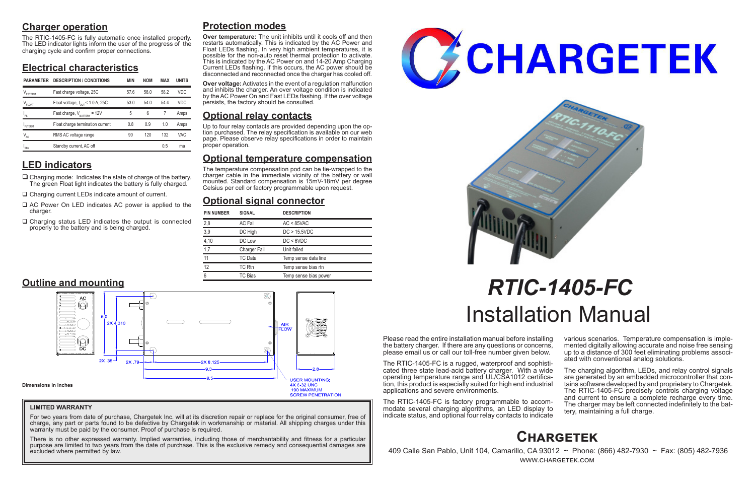# **Charger operation**

The RTIC-1405-FC is fully automatic once installed properly. The LED indicator lights inform the user of the progress of the charging cycle and confirm proper connections.

# **Electrical characteristics**

# **LED indicators**

- $\Box$  Charging mode: Indicates the state of charge of the battery. The green Float light indicates the battery is fully charged.
- □ Charging current LEDs indicate amount of current.
- $\Box$  AC Power On LED indicates AC power is applied to the charger.
- $\Box$  Charging status LED indicates the output is connected properly to the battery and is being charged.

Please read the entire installation manual before installing the battery charger. If there are any questions or concerns, please email us or call our toll-free number given below.

> The charging algorithm, LEDs, and relay control signals are generated by an embedded microcontroller that contains software developed by and proprietary to Chargetek. The RTIC-1405-FC precisely controls charging voltage and current to ensure a complete recharge every time. The charger may be left connected indefinitely to the bat- tery, maintaining a full charge.

The RTIC-1405-FC is a rugged, waterproof and sophisticated three state lead-acid battery charger. With a wide operating temperature range and UL/CSA1012 certification, this product is especially suited for high end industrial applications and severe environments.

The RTIC-1405-FC is factory programmable to accommodate several charging algorithms, an LED display to indicate status, and optional four relay contacts to indicate various scenarios. Temperature compensation is imple- mented digitally allowing accurate and noise free sensing up to a distance of 300 feet eliminating problems associ- ated with conventional analog solutions.

For two years from date of purchase, Chargetek Inc. will at its discretion repair or replace for the original consumer, free of charge, any part or parts found to be defective by Chargetek in workmanship or material. All shipping charges under this warranty must be paid by the consumer. Proof of purchase is required.

# *RTIC-1405-FC* Installation Manual

# **Protection modes**

**Over temperature:** The unit inhibits until it cools off and then restarts automatically. This is indicated by the AC Power and Float LEDs flashing. In very high ambient temperatures, it is possible for the non-auto reset thermal protection to activate. This is indicated by the AC Power on and 14-20 Amp Charging Current LEDs flashing. If this occurs, the AC power should be disconnected and reconnected once the charger has cooled off.

**Over voltage:** Activates in the event of a regulation malfunction and inhibits the charger. An over voltage condition is indicated by the AC Power On and Fast LEDs flashing. If the over voltage persists, the factory should be consulted.

# **Optional relay contacts**

Up to four relay contacts are provided depending upon the op- tion purchased. The relay specification is available on our web page. Please observe relay specifications in order to maintain proper operation.

# **Optional temperature compensation**

The temperature compensation pod can be tie-wrapped to the charger cable in the immediate vicinity of the battery or wall mounted. Standard compensation is 15mV-18mV per degree Celsius per cell or factory programmable upon request.

# **Optional signal connector**

# **Chargetek**

 409 Calle San Pablo, Unit 104, Camarillo, CA 93012 ~ Phone: (866) 482-7930 ~ Fax: (805) 482-7936 www.chargetek.com

| <b>PIN NUMBER</b> | <b>SIGNAL</b>  | <b>DESCRIPTION</b>    |
|-------------------|----------------|-----------------------|
| 2,8               | <b>AC Fail</b> | $AC < 85$ VAC         |
| 3,9               | DC High        | DC > 15.5VDC          |
| 4,10              | DC Low         | DC < 6VDC             |
| 1,7               | Charger Fail   | Unit failed           |
| 11                | <b>TC</b> Data | Temp sense data line  |
| 12                | TC Rtn         | Temp sense bias rtn   |
| 6                 | TC Bias        | Temp sense bias power |



### **LIMITED WARRANTY**

There is no other expressed warranty. Implied warranties, including those of merchantability and fitness for a particular purpose are limited to two years from the date of purchase. This is the exclusive remedy and consequential damages are excluded where permitted by law.





| <b>PARAMETER</b> | <b>DESCRIPTION / CONDITIONS</b>              | <b>MIN</b> | <b>NOM</b> | MAX  | <b>UNITS</b> |
|------------------|----------------------------------------------|------------|------------|------|--------------|
| FSTERM           | Fast charge voltage, 25C                     | 57.6       | 58.0       | 58.2 | <b>VDC</b>   |
| $V_{FLOAT}$      | Float voltage, $I_{\text{out}}$ < 1.0 A, 25C | 53.0       | 54.0       | 544  | VDC          |
| $I_{FS}$         | Fast charge, $V_{\text{raffley}} = 12V$      | 5          | 6          |      | Amps         |
| FITERM           | Float charge termination current             | 0.8        | 0.9        | 1.0  | Amps         |
| $V_{AC}$         | RMS AC voltage range                         | 90         | 120        | 132  | <b>VAC</b>   |
| 'SBY             | Standby current, AC off                      |            |            | 0.5  | ma           |